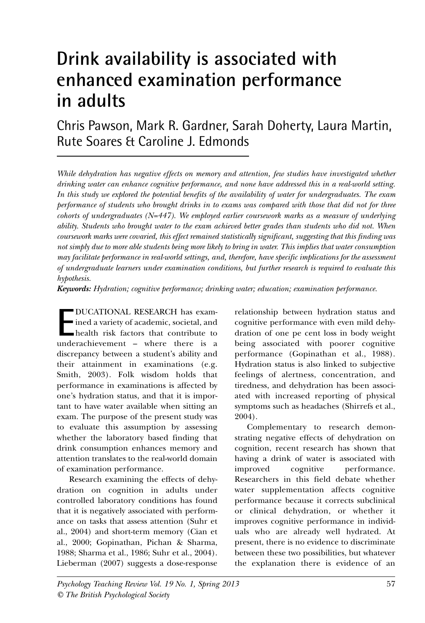# **Drink availability is associated with enhanced examination performance in adults**

## Chris Pawson, Mark R. Gardner, Sarah Doherty, Laura Martin, Rute Soares & Caroline J. Edmonds

*While dehydration has negative effects on memory and attention, few studies have investigated whether drinking water can enhance cognitive performance, and none have addressed this in a real-world setting. In this study we explored the potential benefits of the availability of water for undergraduates. The exam performance of students who brought drinks in to exams was compared with those that did not for three cohorts of undergraduates (N=447). We employed earlier coursework marks as a measure of underlying ability. Students who brought water to the exam achieved better grades than students who did not. When coursework marks were covaried, this effect remained statistically significant, suggesting that this finding was not simply due to more able students being more likely to bring in water. This implies that water consumption may facilitate performance in real-world settings, and, therefore, have specific implications for the assessment of undergraduate learners under examination conditions, but further research is required to evaluate this hypothesis.*

*Keywords: Hydration; cognitive performance; drinking water; education; examination performance.*

**E** DUCATIONAL RESEARCH has examined a variety of academic, societal, and health risk factors that contribute to underachievement – where there is a DUCATIONAL RESEARCH has examined a variety of academic, societal, and health risk factors that contribute to discrepancy between a student's ability and their attainment in examinations (e.g. Smith, 2003). Folk wisdom holds that performance in examinations is affected by one's hydration status, and that it is important to have water available when sitting an exam. The purpose of the present study was to evaluate this assumption by assessing whether the laboratory based finding that drink consumption enhances memory and attention translates to the real-world domain of examination performance.

Research examining the effects of dehydration on cognition in adults under controlled laboratory conditions has found that it is negatively associated with performance on tasks that assess attention (Suhr et al., 2004) and short-term memory (Cian et al., 2000; Gopinathan, Pichan & Sharma, 1988; Sharma et al., 1986; Suhr et al., 2004). Lieberman (2007) suggests a dose-response relationship between hydration status and cognitive performance with even mild dehydration of one pe cent loss in body weight being associated with poorer cognitive performance (Gopinathan et al., 1988). Hydration status is also linked to subjective feelings of alertness, concentration, and tiredness, and dehydration has been associated with increased reporting of physical symptoms such as headaches (Shirrefs et al., 2004).

Complementary to research demonstrating negative effects of dehydration on cognition, recent research has shown that having a drink of water is associated with improved cognitive performance. Researchers in this field debate whether water supplementation affects cognitive performance because it corrects subclinical or clinical dehydration, or whether it improves cognitive performance in individuals who are already well hydrated. At present, there is no evidence to discriminate between these two possibilities, but whatever the explanation there is evidence of an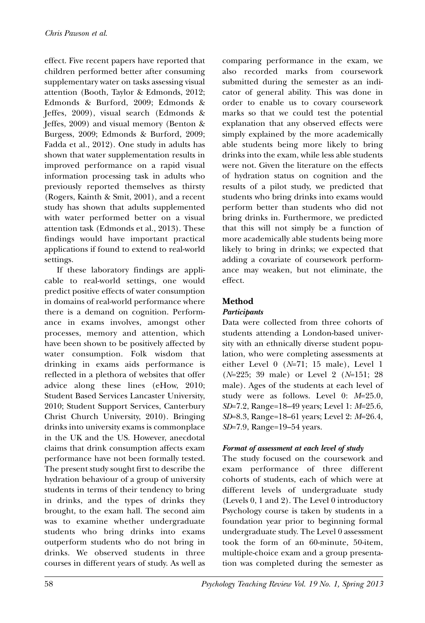effect. Five recent papers have reported that children performed better after consuming supplementary water on tasks assessing visual attention (Booth, Taylor & Edmonds, 2012; Edmonds & Burford, 2009; Edmonds & Jeffes, 2009), visual search (Edmonds & Jeffes, 2009) and visual memory (Benton & Burgess, 2009; Edmonds & Burford, 2009; Fadda et al., 2012). One study in adults has shown that water supplementation results in improved performance on a rapid visual information processing task in adults who previously reported themselves as thirsty (Rogers, Kainth & Smit, 2001), and a recent study has shown that adults supplemented with water performed better on a visual attention task (Edmonds et al., 2013). These findings would have important practical applications if found to extend to real-world settings.

If these laboratory findings are applicable to real-world settings, one would predict positive effects of water consumption in domains of real-world performance where there is a demand on cognition. Performance in exams involves, amongst other processes, memory and attention, which have been shown to be positively affected by water consumption. Folk wisdom that drinking in exams aids performance is reflected in a plethora of websites that offer advice along these lines (eHow, 2010; Student Based Services Lancaster University, 2010; Student Support Services, Canterbury Christ Church University, 2010). Bringing drinks into university exams is commonplace in the UK and the US. However, anecdotal claims that drink consumption affects exam performance have not been formally tested. The present study sought first to describe the hydration behaviour of a group of university students in terms of their tendency to bring in drinks, and the types of drinks they brought, to the exam hall. The second aim was to examine whether undergraduate students who bring drinks into exams outperform students who do not bring in drinks. We observed students in three courses in different years of study. As well as comparing performance in the exam, we also recorded marks from coursework submitted during the semester as an indicator of general ability. This was done in order to enable us to covary coursework marks so that we could test the potential explanation that any observed effects were simply explained by the more academically able students being more likely to bring drinks into the exam, while less able students were not. Given the literature on the effects of hydration status on cognition and the results of a pilot study, we predicted that students who bring drinks into exams would perform better than students who did not bring drinks in. Furthermore, we predicted that this will not simply be a function of more academically able students being more likely to bring in drinks; we expected that adding a covariate of coursework performance may weaken, but not eliminate, the effect.

## **Method**

#### *Participants*

Data were collected from three cohorts of students attending a London-based university with an ethnically diverse student population, who were completing assessments at either Level 0 (*N*=71; 15 male), Level 1 (*N*=225; 39 male) or Level 2 (*N*=151; 28 male). Ages of the students at each level of study were as follows. Level 0: *M*=25.0, *SD*=7.2, Range=18–49 years; Level 1: *M*=25.6, *SD*=8.3, Range=18–61 years; Level 2: *M*=26.4, *SD*=7.9, Range=19–54 years.

#### *Format of assessment at each level of study*

The study focused on the coursework and exam performance of three different cohorts of students, each of which were at different levels of undergraduate study (Levels 0, 1 and 2). The Level 0 introductory Psychology course is taken by students in a foundation year prior to beginning formal undergraduate study. The Level 0 assessment took the form of an 60-minute, 50-item, multiple-choice exam and a group presentation was completed during the semester as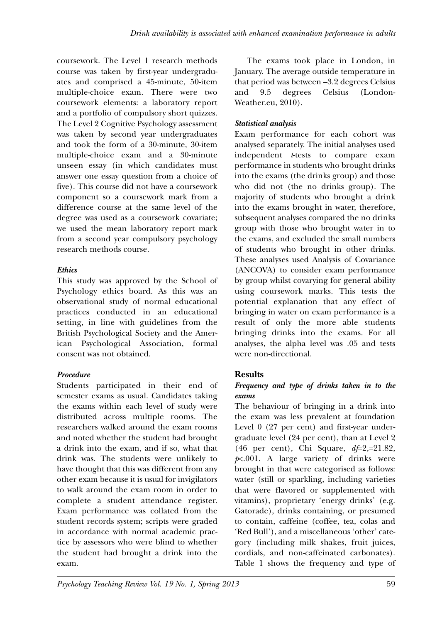coursework. The Level 1 research methods course was taken by first-year undergraduates and comprised a 45-minute, 50-item multiple-choice exam. There were two coursework elements: a laboratory report and a portfolio of compulsory short quizzes. The Level 2 Cognitive Psychology assessment was taken by second year undergraduates and took the form of a 30-minute, 30-item multiple-choice exam and a 30-minute unseen essay (in which candidates must answer one essay question from a choice of five). This course did not have a coursework component so a coursework mark from a difference course at the same level of the degree was used as a coursework covariate; we used the mean laboratory report mark from a second year compulsory psychology research methods course.

## *Ethics*

This study was approved by the School of Psychology ethics board. As this was an observational study of normal educational practices conducted in an educational setting, in line with guidelines from the British Psychological Society and the American Psychological Association, formal consent was not obtained.

## *Procedure*

Students participated in their end of semester exams as usual. Candidates taking the exams within each level of study were distributed across multiple rooms. The researchers walked around the exam rooms and noted whether the student had brought a drink into the exam, and if so, what that drink was. The students were unlikely to have thought that this was different from any other exam because it is usual for invigilators to walk around the exam room in order to complete a student attendance register. Exam performance was collated from the student records system; scripts were graded in accordance with normal academic practice by assessors who were blind to whether the student had brought a drink into the exam.

The exams took place in London, in January. The average outside temperature in that period was between –3.2 degrees Celsius and 9.5 degrees Celsius (London-Weather.eu, 2010).

## *Statistical analysis*

Exam performance for each cohort was analysed separately. The initial analyses used independent *t*-tests to compare exam performance in students who brought drinks into the exams (the drinks group) and those who did not (the no drinks group). The majority of students who brought a drink into the exams brought in water, therefore, subsequent analyses compared the no drinks group with those who brought water in to the exams, and excluded the small numbers of students who brought in other drinks. These analyses used Analysis of Covariance (ANCOVA) to consider exam performance by group whilst covarying for general ability using coursework marks. This tests the potential explanation that any effect of bringing in water on exam performance is a result of only the more able students bringing drinks into the exams. For all analyses, the alpha level was .05 and tests were non-directional.

## **Results**

## *Frequency and type of drinks taken in to the exams*

The behaviour of bringing in a drink into the exam was less prevalent at foundation Level 0 (27 per cent) and first-year undergraduate level (24 per cent), than at Level 2 (46 per cent), Chi Square, *df*=2,=21.82, *p*<.001. A large variety of drinks were brought in that were categorised as follows: water (still or sparkling, including varieties that were flavored or supplemented with vitamins), proprietary 'energy drinks' (e.g. Gatorade), drinks containing, or presumed to contain, caffeine (coffee, tea, colas and 'Red Bull'), and a miscellaneous 'other' category (including milk shakes, fruit juices, cordials, and non-caffeinated carbonates). Table 1 shows the frequency and type of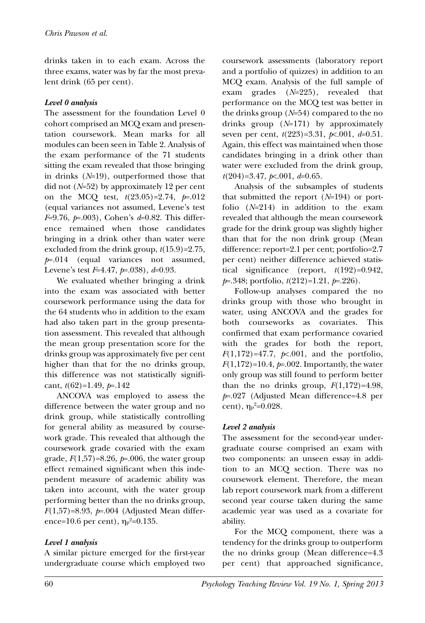drinks taken in to each exam. Across the three exams, water was by far the most prevalent drink (65 per cent).

## *Level 0 analysis*

The assessment for the foundation Level 0 cohort comprised an MCQ exam and presentation coursework. Mean marks for all modules can been seen in Table 2. Analysis of the exam performance of the 71 students sitting the exam revealed that those bringing in drinks (*N*=19), outperformed those that did not (*N*=52) by approximately 12 per cent on the MCQ test, *t*(23.05)=2.74, *p*=.012 (equal variances not assumed, Levene's test *F*=9.76, *p*=.003), Cohen's *d*=0.82. This difference remained when those candidates bringing in a drink other than water were excluded from the drink group, *t*(15.9)=2.75, *p*=.014 (equal variances not assumed, Levene's test *F*=4.47, *p*=.038), *d*=0.93.

We evaluated whether bringing a drink into the exam was associated with better coursework performance using the data for the 64 students who in addition to the exam had also taken part in the group presentation assessment. This revealed that although the mean group presentation score for the drinks group was approximately five per cent higher than that for the no drinks group, this difference was not statistically significant, *t*(62)=1.49, *p*=.142

ANCOVA was employed to assess the difference between the water group and no drink group, while statistically controlling for general ability as measured by coursework grade. This revealed that although the coursework grade covaried with the exam grade,  $F(1,57) = 8.26$ ,  $p=0.006$ , the water group effect remained significant when this independent measure of academic ability was taken into account, with the water group performing better than the no drinks group, *F*(1,57)=8.93, *p*=.004 (Adjusted Mean difference=10.6 per cent),  $\eta_\text{p}{}^2\text{=}0.135$ .

## *Level 1 analysis*

A similar picture emerged for the first-year undergraduate course which employed two coursework assessments (laboratory report and a portfolio of quizzes) in addition to an MCQ exam. Analysis of the full sample of exam grades (*N*=225), revealed that performance on the MCQ test was better in the drinks group (*N*=54) compared to the no drinks group (*N*=171) by approximately seven per cent, *t*(223)=3.31, *p*<.001, *d*=0.51. Again, this effect was maintained when those candidates bringing in a drink other than water were excluded from the drink group, *t*(204)=3.47, *p*<.001, *d*=0.65.

Analysis of the subsamples of students that submitted the report (*N*=194) or portfolio (*N*=214) in addition to the exam revealed that although the mean coursework grade for the drink group was slightly higher than that for the non drink group (Mean difference: report=2.1 per cent; portfolio=2.7 per cent) neither difference achieved statistical significance (report, *t*(192)=0.942, *p*=.348; portfolio, *t*(212)=1.21, *p*=.226).

Follow-up analyses compared the no drinks group with those who brought in water, using ANCOVA and the grades for both courseworks as covariates. This confirmed that exam performance covaried with the grades for both the report,  $F(1,172)=47.7, \; p \times 0.001, \;$ and the portfolio,  $F(1,172) = 10.4$ ,  $p = .002$ . Importantly, the water only group was still found to perform better than the no drinks group,  $F(1,172)=4.98$ , *p*=.027 (Adjusted Mean difference=4.8 per cent),  $η<sub>P</sub><sup>2</sup>=0.028$ .

## *Level 2 analysis*

The assessment for the second-year undergraduate course comprised an exam with two components: an unseen essay in addition to an MCQ section. There was no coursework element. Therefore, the mean lab report coursework mark from a different second year course taken during the same academic year was used as a covariate for ability.

For the MCQ component, there was a tendency for the drinks group to outperform the no drinks group (Mean difference=4.3 per cent) that approached significance,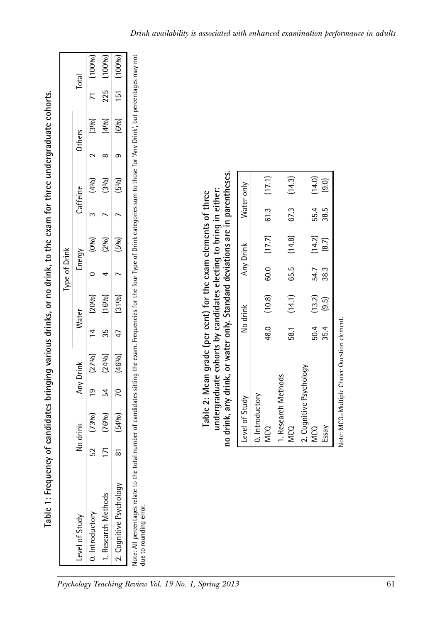|                                                                                                                                                                                          |    |       |                                  |       | Type of Drink |          |          |                        |                        |
|------------------------------------------------------------------------------------------------------------------------------------------------------------------------------------------|----|-------|----------------------------------|-------|---------------|----------|----------|------------------------|------------------------|
| Level of Study                                                                                                                                                                           |    | drink | Any Drink                        | Water |               | Energy   | Caffeine | Others                 | Total                  |
| 0. Introductory                                                                                                                                                                          | CJ |       |                                  |       |               |          | (40/6)   | $2 [3\%]$ 71 $[100\%]$ |                        |
| 1. Research Methods                                                                                                                                                                      |    |       | $(76\%)$ 54 $(24\%)$ 35 $(16\%)$ |       |               | (20/0)   | (300)    |                        | $(40/0)$ 225 $(100/0)$ |
| 2. Cognitive Psychology                                                                                                                                                                  |    |       | $(54\%)$ 70 $(46\%)$ 47 $(31\%)$ |       |               | (150)(5) | (500)    |                        | $(6\%)$ 151 $(100\%)$  |
| lote: All percentages relate to the total number of candidates sitting the exam. Frequencies for the four Type of Drink categories sum to those for 'Any Drink', but percentages may not |    |       |                                  |       |               |          |          |                        |                        |

**Table 1: Frequency of candidates bringing various drinks, or no drink, to the exam for three undergraduate cohorts.**

Table 1: Frequency of candidates bringing various drinks, or no drink, to the exam for three undergraduate cohorts.

Note: All percentages relate to the total number of candidates sitting the exam. Frequencies for the four Type of Drink categories sum to those for 'Any Drink', but percentages may not ₹ no.c. . . ... per cerruges . .<br>due to rounding error. due to rounding error.

no drink, any drink, or water only. Standard deviations are in parentheses. **no drink, any drink, or water only. Standard deviations are in parentheses.** undergraduate cohorts by candidates electing to bring in either: **undergraduate cohorts by candidates electing to bring in either:**  Table 2: Mean grade (per cent) for the exam elements of three **Table 2: Mean grade (per cent) for the exam elements of three**

| Level of Study                                                                                                                                                                                                                                                                                                    |      | No drink |      | Any Drink                           |      | Water only |
|-------------------------------------------------------------------------------------------------------------------------------------------------------------------------------------------------------------------------------------------------------------------------------------------------------------------|------|----------|------|-------------------------------------|------|------------|
| 0. Introductory                                                                                                                                                                                                                                                                                                   |      |          |      |                                     |      |            |
| <b>MCQ</b>                                                                                                                                                                                                                                                                                                        |      |          |      | 48.0 (10.8) 60.0 (17.7) 61.3 (17.1) |      |            |
| 1. Research Methods                                                                                                                                                                                                                                                                                               |      |          |      |                                     |      |            |
| <b>MCQ</b>                                                                                                                                                                                                                                                                                                        | 58.1 | (14.1)   |      | 65.5 $(14.8)$ 67.3                  |      | (14.3)     |
| 2. Cognitive Psychology                                                                                                                                                                                                                                                                                           |      |          |      |                                     |      |            |
| <b>MCQ</b>                                                                                                                                                                                                                                                                                                        | 50.4 | (13.2)   | 54.7 | (14.2)                              | 55.4 | (14.0)     |
| Essay                                                                                                                                                                                                                                                                                                             | 35.4 | (9.5)    | 38.3 | (8.7)                               | 38.5 | $(9.0)$ ,  |
| $\mathcal{L}$ and $\mathcal{L}$ and $\mathcal{L}$ and $\mathcal{L}$ and $\mathcal{L}$ are $\mathcal{L}$ and $\mathcal{L}$ and $\mathcal{L}$ are $\mathcal{L}$ and $\mathcal{L}$ are $\mathcal{L}$ and $\mathcal{L}$ are $\mathcal{L}$ and $\mathcal{L}$ are $\mathcal{L}$ and $\mathcal{L}$ are $\mathcal{L}$ and |      |          |      |                                     |      |            |

Note: MCQ=Multiple Choice Question element. Note: MCQ=Multiple Choice Question element.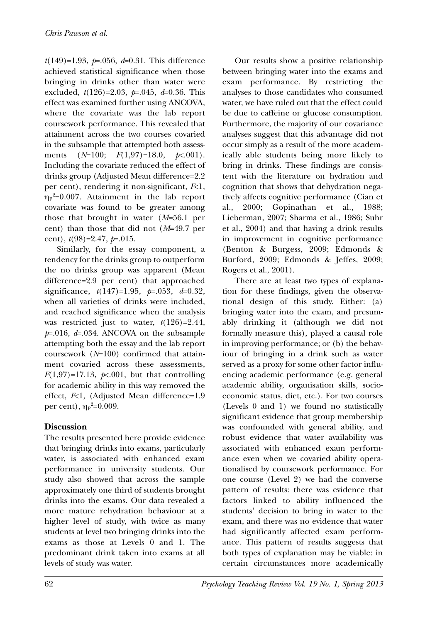*t*(149)=1.93, *p*=.056, *d*=0.31. This difference achieved statistical significance when those bringing in drinks other than water were excluded, *t*(126)=2.03, *p*=.045, *d*=0.36. This effect was examined further using ANCOVA, where the covariate was the lab report coursework performance. This revealed that attainment across the two courses covaried in the subsample that attempted both assessments (*N*=100; *F*(1,97)=18.0, *p*<.001). Including the covariate reduced the effect of drinks group (Adjusted Mean difference=2.2 per cent), rendering it non-significant, *F*<1, ηp<sup>2</sup> =0.007. Attainment in the lab report covariate was found to be greater among those that brought in water (*M*=56.1 per cent) than those that did not (*M*=49.7 per cent), *t*(98)=2.47, *p*=.015.

Similarly, for the essay component, a tendency for the drinks group to outperform the no drinks group was apparent (Mean difference=2.9 per cent) that approached significance, *t*(147)=1.95, *p*=.053, *d*=0.32, when all varieties of drinks were included, and reached significance when the analysis was restricted just to water, *t*(126)=2.44, *p*=.016, *d*=.034. ANCOVA on the subsample attempting both the essay and the lab report coursework (*N*=100) confirmed that attainment covaried across these assessments,  $F(1,97)=17.13$ ,  $p \lt 0.001$ , but that controlling for academic ability in this way removed the effect, *F*<1, (Adjusted Mean difference=1.9 per cent),  $η<sub>p</sub><sup>2</sup>=0.009$ .

## **Discussion**

The results presented here provide evidence that bringing drinks into exams, particularly water, is associated with enhanced exam performance in university students. Our study also showed that across the sample approximately one third of students brought drinks into the exams. Our data revealed a more mature rehydration behaviour at a higher level of study, with twice as many students at level two bringing drinks into the exams as those at Levels 0 and 1. The predominant drink taken into exams at all levels of study was water.

Our results show a positive relationship between bringing water into the exams and exam performance. By restricting the analyses to those candidates who consumed water, we have ruled out that the effect could be due to caffeine or glucose consumption. Furthermore, the majority of our covariance analyses suggest that this advantage did not occur simply as a result of the more academically able students being more likely to bring in drinks. These findings are consistent with the literature on hydration and cognition that shows that dehydration negatively affects cognitive performance (Cian et al., 2000; Gopinathan et al., 1988; Lieberman, 2007; Sharma et al., 1986; Suhr et al., 2004) and that having a drink results in improvement in cognitive performance (Benton & Burgess, 2009; Edmonds & Burford, 2009; Edmonds & Jeffes, 2009; Rogers et al., 2001).

There are at least two types of explanation for these findings, given the observational design of this study. Either: (a) bringing water into the exam, and presumably drinking it (although we did not formally measure this), played a causal role in improving performance; or (b) the behaviour of bringing in a drink such as water served as a proxy for some other factor influencing academic performance (e.g. general academic ability, organisation skills, socioeconomic status, diet, etc.). For two courses (Levels 0 and 1) we found no statistically significant evidence that group membership was confounded with general ability, and robust evidence that water availability was associated with enhanced exam performance even when we covaried ability operationalised by coursework performance. For one course (Level 2) we had the converse pattern of results: there was evidence that factors linked to ability influenced the students' decision to bring in water to the exam, and there was no evidence that water had significantly affected exam performance. This pattern of results suggests that both types of explanation may be viable: in certain circumstances more academically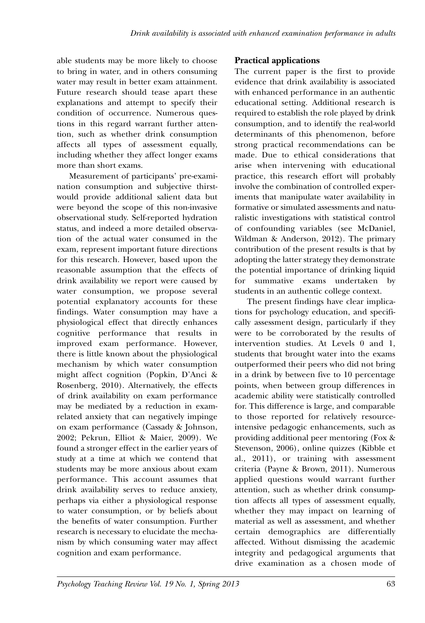able students may be more likely to choose to bring in water, and in others consuming water may result in better exam attainment. Future research should tease apart these explanations and attempt to specify their condition of occurrence. Numerous questions in this regard warrant further attention, such as whether drink consumption affects all types of assessment equally, including whether they affect longer exams more than short exams.

Measurement of participants' pre-examination consumption and subjective thirstwould provide additional salient data but were beyond the scope of this non-invasive observational study. Self-reported hydration status, and indeed a more detailed observation of the actual water consumed in the exam, represent important future directions for this research. However, based upon the reasonable assumption that the effects of drink availability we report were caused by water consumption, we propose several potential explanatory accounts for these findings. Water consumption may have a physiological effect that directly enhances cognitive performance that results in improved exam performance. However, there is little known about the physiological mechanism by which water consumption might affect cognition (Popkin, D'Anci & Rosenberg, 2010). Alternatively, the effects of drink availability on exam performance may be mediated by a reduction in examrelated anxiety that can negatively impinge on exam performance (Cassady & Johnson, 2002; Pekrun, Elliot & Maier, 2009). We found a stronger effect in the earlier years of study at a time at which we contend that students may be more anxious about exam performance. This account assumes that drink availability serves to reduce anxiety, perhaps via either a physiological response to water consumption, or by beliefs about the benefits of water consumption. Further research is necessary to elucidate the mechanism by which consuming water may affect cognition and exam performance.

## **Practical applications**

The current paper is the first to provide evidence that drink availability is associated with enhanced performance in an authentic educational setting. Additional research is required to establish the role played by drink consumption, and to identify the real-world determinants of this phenomenon, before strong practical recommendations can be made. Due to ethical considerations that arise when intervening with educational practice, this research effort will probably involve the combination of controlled experiments that manipulate water availability in formative or simulated assessments and naturalistic investigations with statistical control of confounding variables (see McDaniel, Wildman & Anderson, 2012). The primary contribution of the present results is that by adopting the latter strategy they demonstrate the potential importance of drinking liquid for summative exams undertaken by students in an authentic college context.

The present findings have clear implications for psychology education, and specifically assessment design, particularly if they were to be corroborated by the results of intervention studies. At Levels 0 and 1, students that brought water into the exams outperformed their peers who did not bring in a drink by between five to 10 percentage points, when between group differences in academic ability were statistically controlled for. This difference is large, and comparable to those reported for relatively resourceintensive pedagogic enhancements, such as providing additional peer mentoring (Fox & Stevenson, 2006), online quizzes (Kibble et al., 2011), or training with assessment criteria (Payne & Brown, 2011). Numerous applied questions would warrant further attention, such as whether drink consumption affects all types of assessment equally, whether they may impact on learning of material as well as assessment, and whether certain demographics are differentially affected. Without dismissing the academic integrity and pedagogical arguments that drive examination as a chosen mode of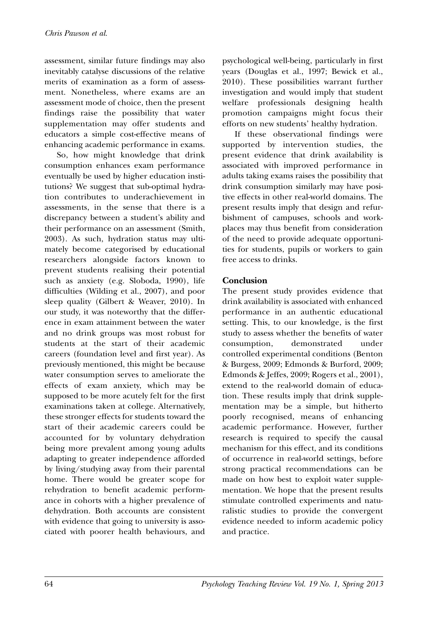assessment, similar future findings may also inevitably catalyse discussions of the relative merits of examination as a form of assessment. Nonetheless, where exams are an assessment mode of choice, then the present findings raise the possibility that water supplementation may offer students and educators a simple cost-effective means of enhancing academic performance in exams.

So, how might knowledge that drink consumption enhances exam performance eventually be used by higher education institutions? We suggest that sub-optimal hydration contributes to underachievement in assessments, in the sense that there is a discrepancy between a student's ability and their performance on an assessment (Smith, 2003). As such, hydration status may ultimately become categorised by educational researchers alongside factors known to prevent students realising their potential such as anxiety (e.g. Sloboda, 1990), life difficulties (Wilding et al., 2007), and poor sleep quality (Gilbert & Weaver, 2010). In our study, it was noteworthy that the difference in exam attainment between the water and no drink groups was most robust for students at the start of their academic careers (foundation level and first year). As previously mentioned, this might be because water consumption serves to ameliorate the effects of exam anxiety, which may be supposed to be more acutely felt for the first examinations taken at college. Alternatively, these stronger effects for students toward the start of their academic careers could be accounted for by voluntary dehydration being more prevalent among young adults adapting to greater independence afforded by living/studying away from their parental home. There would be greater scope for rehydration to benefit academic performance in cohorts with a higher prevalence of dehydration. Both accounts are consistent with evidence that going to university is associated with poorer health behaviours, and

psychological well-being, particularly in first years (Douglas et al., 1997; Bewick et al., 2010). These possibilities warrant further investigation and would imply that student welfare professionals designing health promotion campaigns might focus their efforts on new students' healthy hydration.

If these observational findings were supported by intervention studies, the present evidence that drink availability is associated with improved performance in adults taking exams raises the possibility that drink consumption similarly may have positive effects in other real-world domains. The present results imply that design and refurbishment of campuses, schools and workplaces may thus benefit from consideration of the need to provide adequate opportunities for students, pupils or workers to gain free access to drinks.

## **Conclusion**

The present study provides evidence that drink availability is associated with enhanced performance in an authentic educational setting. This, to our knowledge, is the first study to assess whether the benefits of water consumption, demonstrated under controlled experimental conditions (Benton & Burgess, 2009; Edmonds & Burford, 2009; Edmonds & Jeffes, 2009; Rogers et al., 2001), extend to the real-world domain of education. These results imply that drink supplementation may be a simple, but hitherto poorly recognised, means of enhancing academic performance. However, further research is required to specify the causal mechanism for this effect, and its conditions of occurrence in real-world settings, before strong practical recommendations can be made on how best to exploit water supplementation. We hope that the present results stimulate controlled experiments and naturalistic studies to provide the convergent evidence needed to inform academic policy and practice.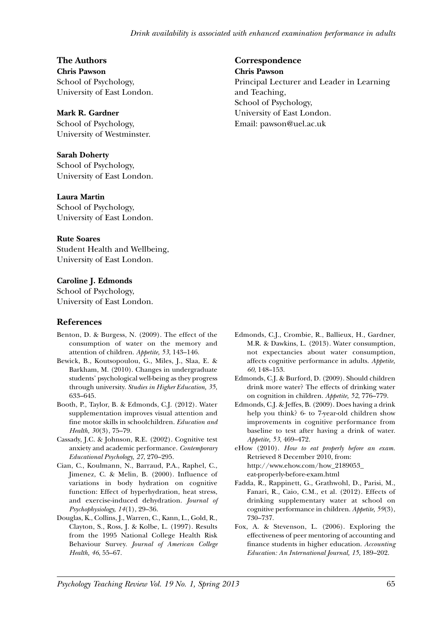## **The Authors**

**Chris Pawson** School of Psychology, University of East London.

#### **Mark R. Gardner**

School of Psychology, University of Westminster.

#### **Sarah Doherty**

School of Psychology, University of East London.

#### **Laura Martin**

School of Psychology, University of East London.

#### **Rute Soares**

Student Health and Wellbeing, University of East London.

#### **Caroline J. Edmonds**

School of Psychology, University of East London.

#### **References**

- Benton, D. & Burgess, N. (2009). The effect of the consumption of water on the memory and attention of children. *Appetite, 53*, 143–146.
- Bewick, B., Koutsopoulou, G., Miles, J., Slaa, E. & Barkham, M. (2010). Changes in undergraduate students' psychological well-being as they progress through university. *Studies in Higher Education, 35*, 633–645.
- Booth, P., Taylor, B. & Edmonds, C.J. (2012). Water supplementation improves visual attention and fine motor skills in schoolchildren. *Education and Health, 30*(3), 75–79.
- Cassady, J.C. & Johnson, R.E. (2002). Cognitive test anxiety and academic performance. *Contemporary Educational Psychology, 27*, 270–295.
- Cian, C., Koulmann, N., Barraud, P.A., Raphel, C., Jimenez, C. & Melin, B. (2000). Influence of variations in body hydration on cognitive function: Effect of hyperhydration, heat stress, and exercise-induced dehydration. *Journal of Psychophysiology, 14*(1), 29–36.
- Douglas, K., Collins, J., Warren, C., Kann, L., Gold, R., Clayton, S., Ross, J. & Kolbe, L. (1997). Results from the 1995 National College Health Risk Behaviour Survey. *Journal of American College Health, 46*, 55–67.

#### **Correspondence**

**Chris Pawson**

Principal Lecturer and Leader in Learning and Teaching, School of Psychology, University of East London. Email: pawson@uel.ac.uk

- Edmonds, C.J., Crombie, R., Ballieux, H., Gardner, M.R. & Dawkins, L. (2013). Water consumption, not expectancies about water consumption, affects cognitive performance in adults. *Appetite, 60*, 148–153.
- Edmonds, C.J. & Burford, D. (2009). Should children drink more water? The effects of drinking water on cognition in children. *Appetite, 52*, 776–779.
- Edmonds, C.J. & Jeffes, B. (2009). Does having a drink help you think? 6- to 7-year-old children show improvements in cognitive performance from baseline to test after having a drink of water. *Appetite, 53*, 469–472.

eHow (2010). *How to eat properly before an exam.* Retrieved 8 December 2010, from: http://www.ehow.com/how\_2189053\_ eat-properly-before-exam.html

- Fadda, R., Rappinett, G., Grathwohl, D., Parisi, M., Fanari, R., Caio, C.M., et al. (2012). Effects of drinking supplementary water at school on cognitive performance in children. *Appetite, 59*(3), 730–737.
- Fox, A. & Stevenson, L. (2006). Exploring the effectiveness of peer mentoring of accounting and finance students in higher education. *Accounting Education: An International Journal, 15*, 189–202.